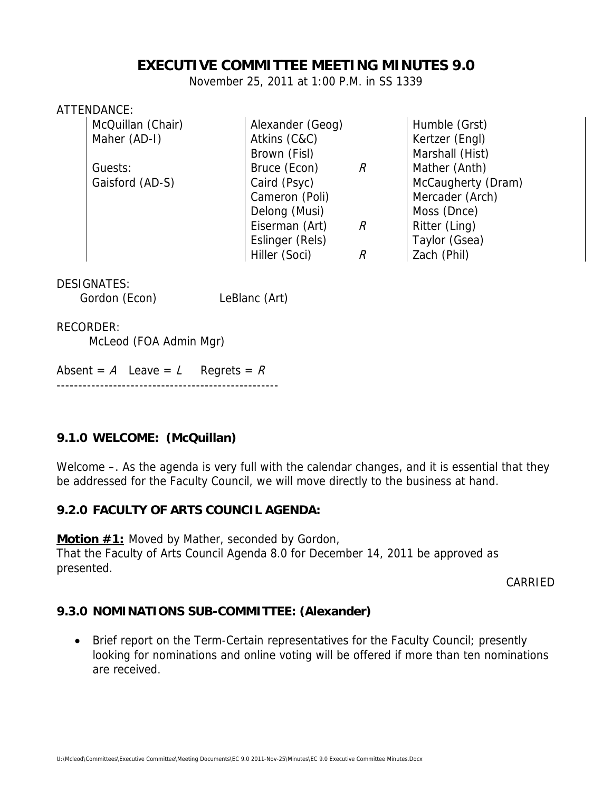# **EXECUTIVE COMMITTEE MEETING MINUTES 9.0**

November 25, 2011 at 1:00 P.M. in SS 1339

#### ATTENDANCE:

| McQuillan (Chair) | Alexander (Geog) |               | Humble (Grst)      |
|-------------------|------------------|---------------|--------------------|
| Maher (AD-I)      | Atkins (C&C)     |               | Kertzer (Engl)     |
|                   | Brown (Fisl)     |               | Marshall (Hist)    |
| Guests:           | Bruce (Econ)     | $\mathcal{R}$ | Mather (Anth)      |
| Gaisford (AD-S)   | Caird (Psyc)     |               | McCaugherty (Dram) |
|                   | Cameron (Poli)   |               | Mercader (Arch)    |
|                   | Delong (Musi)    |               | Moss (Dnce)        |
|                   | Eiserman (Art)   | R             | Ritter (Ling)      |
|                   | Eslinger (Rels)  |               | Taylor (Gsea)      |
|                   | Hiller (Soci)    |               | Zach (Phil)        |
|                   |                  |               |                    |

#### DESIGNATES:

Gordon (Econ) LeBlanc (Art)

#### RECORDER:

McLeod (FOA Admin Mgr)

Absent =  $A$  Leave =  $L$  Regrets =  $R$ ---------------------------------------------------

## **9.1.0 WELCOME: (McQuillan)**

Welcome –. As the agenda is very full with the calendar changes, and it is essential that they be addressed for the Faculty Council, we will move directly to the business at hand.

## **9.2.0 FACULTY OF ARTS COUNCIL AGENDA:**

**Motion #1:** Moved by Mather, seconded by Gordon, That the Faculty of Arts Council Agenda 8.0 for December 14, 2011 be approved as presented.

CARRIED

## **9.3.0 NOMINATIONS SUB-COMMITTEE: (Alexander)**

 Brief report on the Term-Certain representatives for the Faculty Council; presently looking for nominations and online voting will be offered if more than ten nominations are received.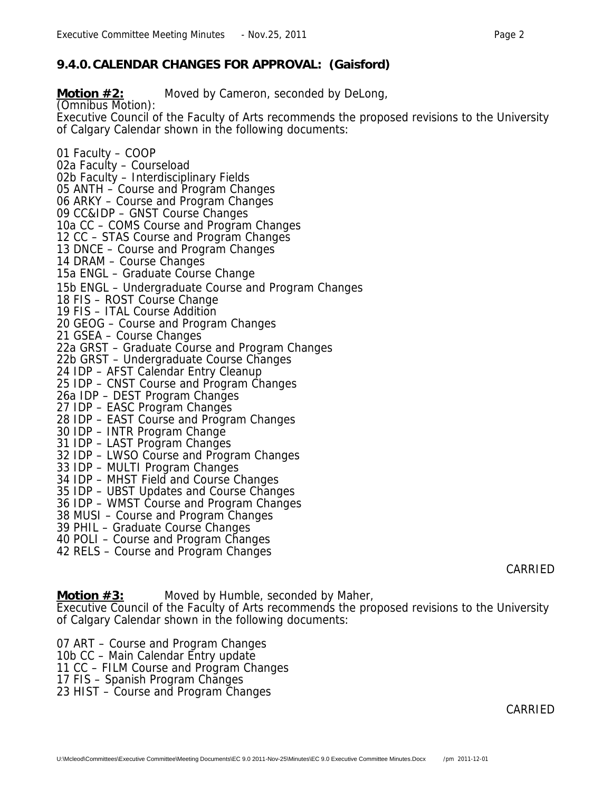## **9.4.0. CALENDAR CHANGES FOR APPROVAL: (Gaisford)**

**Motion #2:** Moved by Cameron, seconded by DeLong,

(Omnibus Motion):

Executive Council of the Faculty of Arts recommends the proposed revisions to the University of Calgary Calendar shown in the following documents:

01 Faculty – COOP

02a Faculty – Courseload

02b Faculty – Interdisciplinary Fields

05 ANTH - Course and Program Changes

06 ARKY – Course and Program Changes

09 CC&IDP – GNST Course Changes

10a CC – COMS Course and Program Changes

12 CC – STAS Course and Program Changes

13 DNCE – Course and Program Changes

14 DRAM – Course Changes

15a ENGL – Graduate Course Change

15b ENGL – Undergraduate Course and Program Changes

18 FIS – ROST Course Change

19 FIS – ITAL Course Addition

20 GEOG – Course and Program Changes

21 GSEA – Course Changes

22a GRST – Graduate Course and Program Changes

22b GRST – Undergraduate Course Changes

24 IDP – AFST Calendar Entry Cleanup

25 IDP – CNST Course and Program Changes

26a IDP – DEST Program Changes

27 IDP – EASC Program Changes

28 IDP – EAST Course and Program Changes

30 IDP – INTR Program Change

31 IDP – LAST Program Changes

32 IDP – LWSO Course and Program Changes

33 IDP – MULTI Program Changes

34 IDP – MHST Field and Course Changes

35 IDP – UBST Updates and Course Changes

36 IDP – WMST Course and Program Changes

38 MUSI – Course and Program Changes

39 PHIL – Graduate Course Changes

40 POLI – Course and Program Changes

42 RELS – Course and Program Changes

CARRIED

**Motion #3:** Moved by Humble, seconded by Maher,

Executive Council of the Faculty of Arts recommends the proposed revisions to the University of Calgary Calendar shown in the following documents:

07 ART – Course and Program Changes

10b CC – Main Calendar Entry update

11 CC – FILM Course and Program Changes

17 FIS – Spanish Program Changes

23 HIST – Course and Program Changes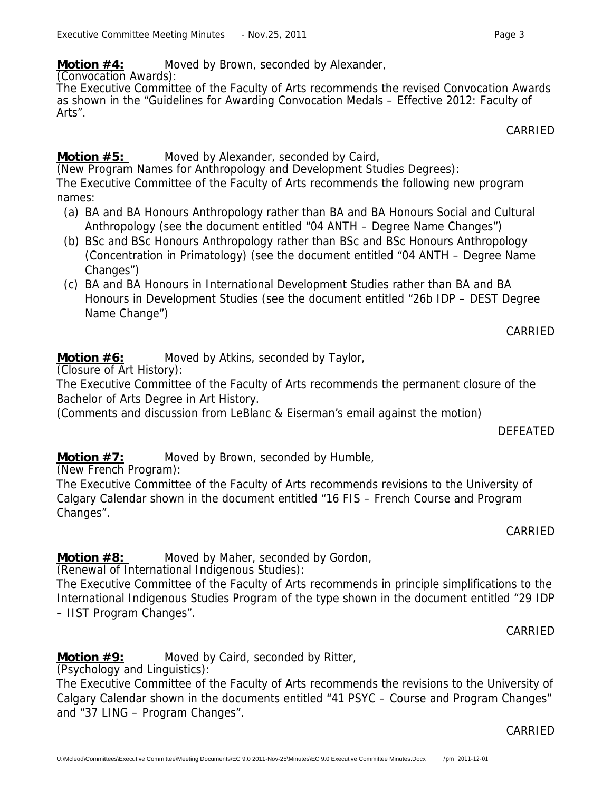**Motion #4:** Moved by Brown, seconded by Alexander,

(Convocation Awards):

The Executive Committee of the Faculty of Arts recommends the revised Convocation Awards as shown in the "Guidelines for Awarding Convocation Medals – Effective 2012: Faculty of Arts".

CARRIED

# **Motion #5:** Moved by Alexander, seconded by Caird,

(New Program Names for Anthropology and Development Studies Degrees): The Executive Committee of the Faculty of Arts recommends the following new program names:

- (a) BA and BA Honours Anthropology rather than BA and BA Honours Social and Cultural Anthropology (see the document entitled "04 ANTH – Degree Name Changes")
- (b) BSc and BSc Honours Anthropology rather than BSc and BSc Honours Anthropology (Concentration in Primatology) (see the document entitled "04 ANTH – Degree Name Changes")
- (c) BA and BA Honours in International Development Studies rather than BA and BA Honours in Development Studies (see the document entitled "26b IDP – DEST Degree Name Change")

CARRIED

# **Motion #6:** Moved by Atkins, seconded by Taylor,

(Closure of Art History):

The Executive Committee of the Faculty of Arts recommends the permanent closure of the Bachelor of Arts Degree in Art History.

(Comments and discussion from LeBlanc & Eiserman's email against the motion)

**DEFFATED** 

**Motion #7:** Moved by Brown, seconded by Humble,

(New French Program):

The Executive Committee of the Faculty of Arts recommends revisions to the University of Calgary Calendar shown in the document entitled "16 FIS – French Course and Program Changes".

CARRIED

**Motion #8:** Moved by Maher, seconded by Gordon,

(Renewal of International Indigenous Studies):

The Executive Committee of the Faculty of Arts recommends in principle simplifications to the International Indigenous Studies Program of the type shown in the document entitled "29 IDP – IIST Program Changes".

CARRIED

**Motion #9:** Moved by Caird, seconded by Ritter,

(Psychology and Linguistics):

The Executive Committee of the Faculty of Arts recommends the revisions to the University of Calgary Calendar shown in the documents entitled "41 PSYC – Course and Program Changes" and "37 LING – Program Changes".

CARRIED